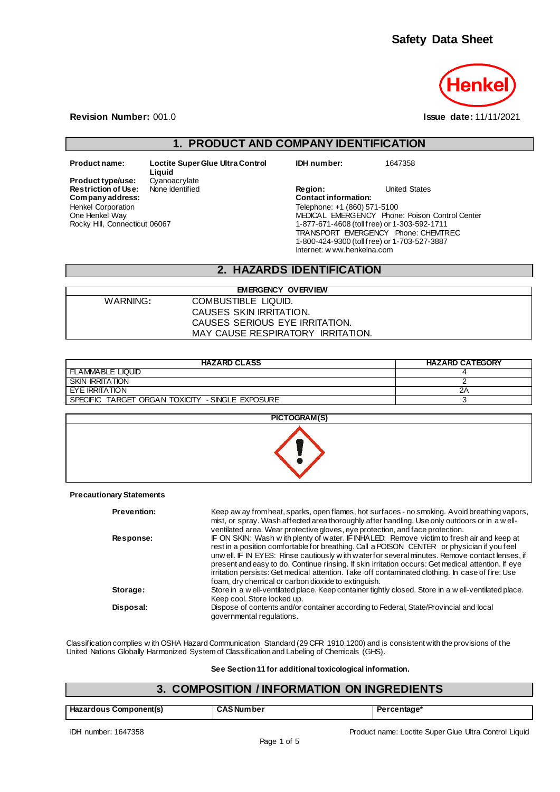

**Revision Number:** 001.0 **Issue date:** 11/11/2021

# **1. PRODUCT AND COMPANY IDENTIFICATION**

**Liquid Product type/use:** Cyanoacrylate<br>**Restriction of Use:** None identified Henkel Corporation One Henkel Way Rocky Hill, Connecticut 06067

**Product name: Loctite Super Glue Ultra Control** 

**IDH number:** 1647358

**Restriction of Use:** None identified **Region:** Prestriction of Use: None identified **Region:** United States Company address: **Company address: Contact information:** Telephone: +1 (860) 571-5100 MEDICAL EMERGENCY Phone: Poison Control Center 1-877-671-4608 (toll free) or 1-303-592-1711 TRANSPORT EMERGENCY Phone: CHEMTREC 1-800-424-9300 (toll free) or 1-703-527-3887 Internet: w ww.henkelna.com

# **2. HAZARDS IDENTIFICATION**

| <b>EMERGENCY OVERVIEW</b> |                                   |  |  |  |
|---------------------------|-----------------------------------|--|--|--|
| WARNING:                  | COMBUSTIBLE LIQUID.               |  |  |  |
|                           | CAUSES SKIN IRRITATION.           |  |  |  |
|                           | CAUSES SERIOUS EYE IRRITATION.    |  |  |  |
|                           | MAY CAUSE RESPIRATORY IRRITATION. |  |  |  |
|                           |                                   |  |  |  |

| <b>HAZARD CLASS</b>                              | <b>HAZARD CATEGORY</b> |
|--------------------------------------------------|------------------------|
| <b>FLAMMABLE LIQUID</b>                          |                        |
| <b>SKIN IRRITATION</b>                           |                        |
| EYE IRRITATION                                   | 2Α                     |
| SPECIFIC TARGET ORGAN TOXICITY - SINGLE EXPOSURE |                        |

| PICTOGRAM(S) |
|--------------|
|              |

**Precautionary Statements**

| <b>Prevention:</b> | Keep aw ay from heat, sparks, open flames, hot surfaces - no smoking. Avoid breathing vapors,<br>mist, or spray. Wash affected area thoroughly after handling. Use only outdoors or in a well-<br>ventilated area. Wear protective gloves, eye protection, and face protection.                                                                                                                                                                                                                                                                              |
|--------------------|--------------------------------------------------------------------------------------------------------------------------------------------------------------------------------------------------------------------------------------------------------------------------------------------------------------------------------------------------------------------------------------------------------------------------------------------------------------------------------------------------------------------------------------------------------------|
| Response:          | IF ON SKIN: Wash with plenty of water. IF INHALED: Remove victim to fresh air and keep at<br>rest in a position comfortable for breathing. Call a POISON CENTER or physician if you feel<br>unw ell. IF IN EYES: Rinse cautiously with water for several minutes. Remove contact lenses, if<br>present and easy to do. Continue rinsing. If skin irritation occurs: Get medical attention. If eye<br>irritation persists: Get medical attention. Take off contaminated clothing. In case of fire: Use<br>foam, dry chemical or carbon dioxide to extinguish. |
| Storage:           | Store in a w ell-ventilated place. Keep container tightly closed. Store in a w ell-ventilated place.<br>Keep cool. Store locked up.                                                                                                                                                                                                                                                                                                                                                                                                                          |
| Disposal:          | Dispose of contents and/or container according to Federal, State/Provincial and local<br>governmental regulations.                                                                                                                                                                                                                                                                                                                                                                                                                                           |
|                    |                                                                                                                                                                                                                                                                                                                                                                                                                                                                                                                                                              |

Classification complies w ith OSHA Hazard Communication Standard (29 CFR 1910.1200) and is consistent with the provisions of the United Nations Globally Harmonized System of Classification and Labeling of Chemicals (GHS).

**See Section 11 for additional toxicological information.**

| 3. COMPOSITION / INFORMATION ON INGREDIENTS |                   |             |  |
|---------------------------------------------|-------------------|-------------|--|
| Hazardous Component(s)                      | <b>CAS Number</b> | Percentage* |  |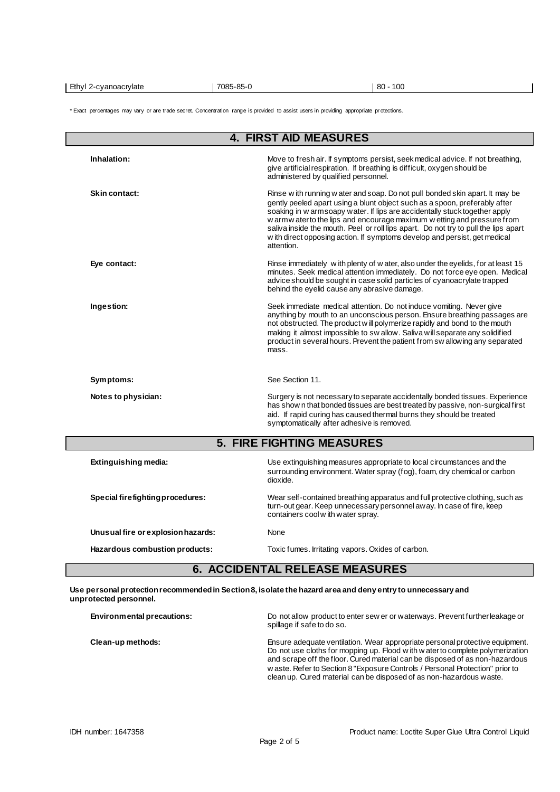| Ethyl<br>7085-85-0<br>80<br>10C<br>-cvanoacrvlate |
|---------------------------------------------------|
|---------------------------------------------------|

\* Exact percentages may vary or are trade secret. Concentration range is provided to assist users in providing appropriate pr otections.

| <b>4. FIRST AID MEASURES</b>          |                                                                                                                                                                                                                                                                                                                                                                                                                                                                                                         |  |  |  |
|---------------------------------------|---------------------------------------------------------------------------------------------------------------------------------------------------------------------------------------------------------------------------------------------------------------------------------------------------------------------------------------------------------------------------------------------------------------------------------------------------------------------------------------------------------|--|--|--|
| Inhalation:                           | Move to fresh air. If symptoms persist, seek medical advice. If not breathing,<br>give artificial respiration. If breathing is difficult, oxygen should be<br>administered by qualified personnel.                                                                                                                                                                                                                                                                                                      |  |  |  |
| Skin contact:                         | Rinse with running water and soap. Do not pull bonded skin apart. It may be<br>gently peeled apart using a blunt object such as a spoon, preferably after<br>soaking in w armsoapy water. If lips are accidentally stuck together apply<br>w arm w ater to the lips and encourage maximum w etting and pressure from<br>saliva inside the mouth. Peel or roll lips apart. Do not try to pull the lips apart<br>w ith direct opposing action. If symptoms develop and persist, get medical<br>attention. |  |  |  |
| Eye contact:                          | Rinse immediately with plenty of w ater, also under the eyelids, for at least 15<br>minutes. Seek medical attention immediately. Do not force eye open. Medical<br>advice should be sought in case solid particles of cyanoacrylate trapped<br>behind the eyelid cause any abrasive damage.                                                                                                                                                                                                             |  |  |  |
| Ingestion:                            | Seek immediate medical attention. Do not induce vomiting. Never give<br>anything by mouth to an unconscious person. Ensure breathing passages are<br>not obstructed. The product w ill polymerize rapidly and bond to the mouth<br>making it almost impossible to sw allow. Saliva will separate any solidified<br>product in several hours. Prevent the patient from sw allowing any separated<br>mass.                                                                                                |  |  |  |
| Symptoms:                             | See Section 11.                                                                                                                                                                                                                                                                                                                                                                                                                                                                                         |  |  |  |
| Notes to physician:                   | Surgery is not necessary to separate accidentally bonded tissues. Experience<br>has show n that bonded tissues are best treated by passive, non-surgical first<br>aid. If rapid curing has caused thermal burns they should be treated<br>symptomatically after adhesive is removed.                                                                                                                                                                                                                    |  |  |  |
|                                       | <b>5. FIRE FIGHTING MEASURES</b>                                                                                                                                                                                                                                                                                                                                                                                                                                                                        |  |  |  |
| Extinguishing media:                  | Use extinguishing measures appropriate to local circumstances and the<br>surrounding environment. Water spray (fog), foam, dry chemical or carbon<br>dioxide.                                                                                                                                                                                                                                                                                                                                           |  |  |  |
| Special firefighting procedures:      | Wear self-contained breathing apparatus and full protective clothing, such as<br>turn-out gear. Keep unnecessary personnel away. In case of fire, keep<br>containers cool with water spray.                                                                                                                                                                                                                                                                                                             |  |  |  |
| Unusual fire or explosion hazards:    | None                                                                                                                                                                                                                                                                                                                                                                                                                                                                                                    |  |  |  |
| Hazardous combustion products:        | Toxic fumes. Irritating vapors. Oxides of carbon.                                                                                                                                                                                                                                                                                                                                                                                                                                                       |  |  |  |
| <b>6. ACCIDENTAL RELEASE MEASURES</b> |                                                                                                                                                                                                                                                                                                                                                                                                                                                                                                         |  |  |  |

**Use personal protection recommended in Section 8, isolate the hazard area and deny entry to unnecessary and unprotected personnel.**

| Environmental precautions: | Do not allow product to enter sew er or waterways. Prevent further leakage or<br>spillage if safe to do so.                                                                                                                                                                                                                                                                                             |
|----------------------------|---------------------------------------------------------------------------------------------------------------------------------------------------------------------------------------------------------------------------------------------------------------------------------------------------------------------------------------------------------------------------------------------------------|
| Clean-up methods:          | Ensure adequate ventilation. Wear appropriate personal protective equipment.<br>Do not use cloths for mopping up. Flood w ith w ater to complete polymerization<br>and scrape off the floor. Cured material can be disposed of as non-hazardous<br>w aste. Refer to Section 8 "Exposure Controls / Personal Protection" prior to<br>clean up. Cured material can be disposed of as non-hazardous waste. |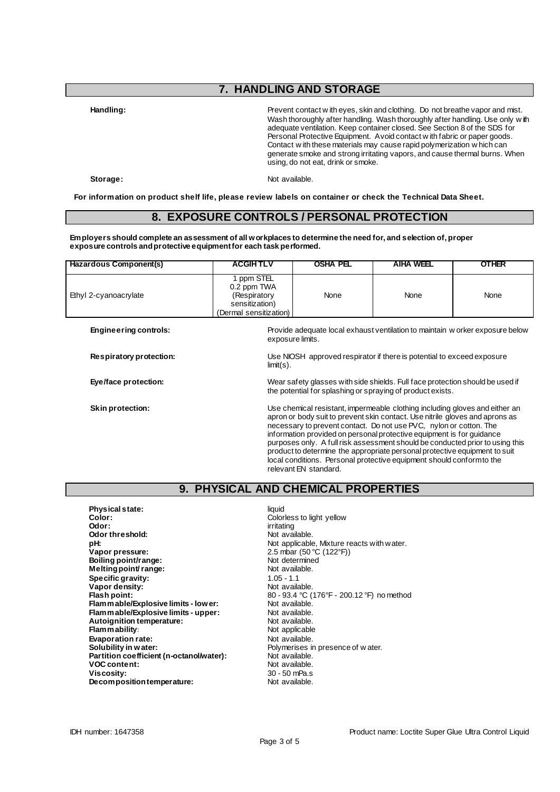# **7. HANDLING AND STORAGE**

**Handling:** Prevent contact w ith eyes, skin and clothing. Do not breathe vapor and mist. Wash thoroughly after handling. Wash thoroughly after handling. Use only w ith adequate ventilation. Keep container closed. See Section 8 of the SDS for Personal Protective Equipment. Avoid contact w ith fabric or paper goods. Contact w ith these materials may cause rapid polymerization w hich can generate smoke and strong irritating vapors, and cause thermal burns. When using, do not eat, drink or smoke.

Storage: Not available.

**For information on product shelf life, please review labels on container or check the Technical Data Sheet.**

## **8. EXPOSURE CONTROLS / PERSONAL PROTECTION**

**Employers should complete an assessment of all workplaces to determine the need for, and selection of, proper exposure controls and protective equipment for each task performed.**

| Hazardous Component(s)       | <b>ACGIHTLV</b>                                                                                                                             | <b>OSHA PEL</b>  | <b>AIHA WEEL</b>                                                                                                                                                                                                                                                                                                                                                                                                                                                                                                                                   | <b>OTHER</b> |
|------------------------------|---------------------------------------------------------------------------------------------------------------------------------------------|------------------|----------------------------------------------------------------------------------------------------------------------------------------------------------------------------------------------------------------------------------------------------------------------------------------------------------------------------------------------------------------------------------------------------------------------------------------------------------------------------------------------------------------------------------------------------|--------------|
| Ethyl 2-cyanoacrylate        | 1 ppm STEL<br>0.2 ppm TWA<br>(Respiratory<br>sensitization)<br>(Dermal sensitization)                                                       | None             | None                                                                                                                                                                                                                                                                                                                                                                                                                                                                                                                                               | None         |
| <b>Engineering controls:</b> |                                                                                                                                             | exposure limits. | Provide adequate local exhaust ventilation to maintain w orker exposure below                                                                                                                                                                                                                                                                                                                                                                                                                                                                      |              |
| Respiratory protection:      | Use NIOSH approved respirator if there is potential to exceed exposure<br>$limit(s)$ .                                                      |                  |                                                                                                                                                                                                                                                                                                                                                                                                                                                                                                                                                    |              |
| Eye/face protection:         | Wear safety glasses with side shields. Full face protection should be used if<br>the potential for splashing or spraying of product exists. |                  |                                                                                                                                                                                                                                                                                                                                                                                                                                                                                                                                                    |              |
| <b>Skin protection:</b>      |                                                                                                                                             |                  | Use chemical resistant, impermeable clothing including gloves and either an<br>apron or body suit to prevent skin contact. Use nitrile gloves and aprons as<br>necessary to prevent contact. Do not use PVC, nylon or cotton. The<br>information provided on personal protective equipment is for guidance<br>purposes only. A full risk assessment should be conducted prior to using this<br>product to determine the appropriate personal protective equipment to suit<br>local conditions. Personal protective equipment should conform to the |              |

# **9. PHYSICAL AND CHEMICAL PROPERTIES**

relevant EN standard.

| <b>Physical state:</b>                   | liquid                                     |
|------------------------------------------|--------------------------------------------|
| Color:                                   | Colorless to light yellow                  |
| Odor:                                    | irritating                                 |
| Odor threshold:                          | Not available.                             |
| pH:                                      | Not applicable, Mixture reacts with water. |
| Vapor pressure:                          | 2.5 mbar (50 °C (122°F))                   |
| Boiling point/range:                     | Not determined                             |
| Melting point/range:                     | Not available.                             |
| Specific gravity:                        | $1.05 - 1.1$                               |
| Vapor density:                           | Not available.                             |
| Flash point:                             | 80 - 93.4 °C (176°F - 200.12 °F) no method |
| Flam mable/Explosive limits - low er:    | Not available.                             |
| Flam mable/Explosive limits - upper:     | Not available.                             |
| Autoignition temperature:                | Not available.                             |
| Flammability:                            | Not applicable                             |
| <b>Evaporation rate:</b>                 | Not available.                             |
| Solubility in water:                     | Polymerises in presence of water.          |
| Partition coefficient (n-octanol/water): | Not available.                             |
| <b>VOC content:</b>                      | Not available.                             |
| Viscosity:                               | $30 - 50$ mPa.s                            |
| Decomposition temperature:               | Not available.                             |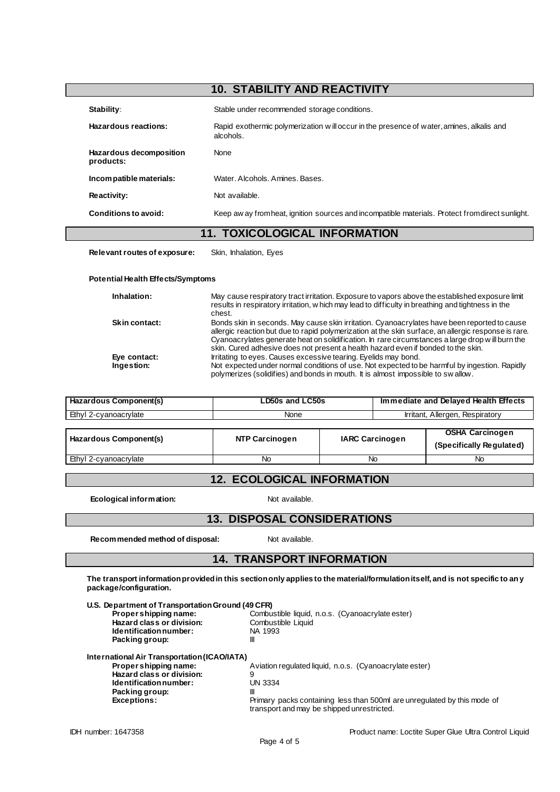# **10. STABILITY AND REACTIVITY Stability:** Stable under recommended storage conditions. **Hazardous reactions:** Rapid exothermic polymerization w ill occur in the presence of water, amines, alkalis and alcohols. **Hazardous decomposition products:** None **Incompatible materials:** Water. Alcohols. Amines. Bases. **Reactivity:** Not available. **Conditions to avoid:** Keep aw ay from heat, ignition sources and incompatible materials. Protect from direct sunlight.

#### **11. TOXICOLOGICAL INFORMATION**

**Relevant routes of exposure:** Skin, Inhalation, Eyes

# **Potential Health Effects/Symptoms**

| Inhalation:                | May cause respiratory tract irritation. Exposure to vapors above the established exposure limit<br>results in respiratory irritation, w hich may lead to difficulty in breathing and tightness in the<br>chest.                                                                                                                                                                               |
|----------------------------|-----------------------------------------------------------------------------------------------------------------------------------------------------------------------------------------------------------------------------------------------------------------------------------------------------------------------------------------------------------------------------------------------|
| <b>Skin contact:</b>       | Bonds skin in seconds. May cause skin irritation. Cyanoacrylates have been reported to cause<br>allergic reaction but due to rapid polymerization at the skin surface, an allergic response is rare.<br>Cyanoacrylates generate heat on solidification. In rare circumstances a large drop will burn the<br>skin. Cured adhesive does not present a health hazard even if bonded to the skin. |
| Eye contact:<br>Ingestion: | Irritating to eyes. Causes excessive tearing. Eyelids may bond.<br>Not expected under normal conditions of use. Not expected to be harmful by ingestion. Rapidly<br>polymerizes (solidifies) and bonds in mouth. It is almost impossible to swallow.                                                                                                                                          |

| Hazardous Component(s) | LD50s and LC50s       |  | Immediate and Delayed Health Effects |                                                    |
|------------------------|-----------------------|--|--------------------------------------|----------------------------------------------------|
| Ethyl 2-cyanoacrylate  | None                  |  | Irritant, Allergen, Respiratory      |                                                    |
|                        |                       |  |                                      |                                                    |
| Hazardous Component(s) | <b>NTP Carcinogen</b> |  | <b>IARC Carcinogen</b>               | <b>OSHA Carcinogen</b><br>(Specifically Regulated) |
| Ethyl 2-cyanoacrylate  | No                    |  | No                                   | No                                                 |

# **12. ECOLOGICAL INFORMATION**

**Ecological information:** Not available.

#### **13. DISPOSAL CONSIDERATIONS**

**Recommended method of disposal:** Not available.

#### **14. TRANSPORT INFORMATION**

**The transport information provided in this section only applies to the material/formulation itself, and is not specific to any package/configuration.**

| U.S. Department of Transportation Ground (49 CFR) |                                                                                                                        |
|---------------------------------------------------|------------------------------------------------------------------------------------------------------------------------|
| Propershipping name:                              | Combustible liquid, n.o.s. (Cyanoacrylate ester)                                                                       |
| Hazard class or division:                         | Combustible Liquid                                                                                                     |
| Identification number:                            | NA 1993                                                                                                                |
| Packing group:                                    | Ш                                                                                                                      |
| International Air Transportation (ICAO/IATA)      |                                                                                                                        |
| Propershipping name:                              | Aviation regulated liquid, n.o.s. (Cyanoacrylate ester)                                                                |
| Hazard class or division:                         | 9                                                                                                                      |
| Identification number:                            | UN 3334                                                                                                                |
| Packing group:                                    | Ш                                                                                                                      |
| <b>Exceptions:</b>                                | Primary packs containing less than 500ml are unregulated by this mode of<br>transport and may be shipped unrestricted. |